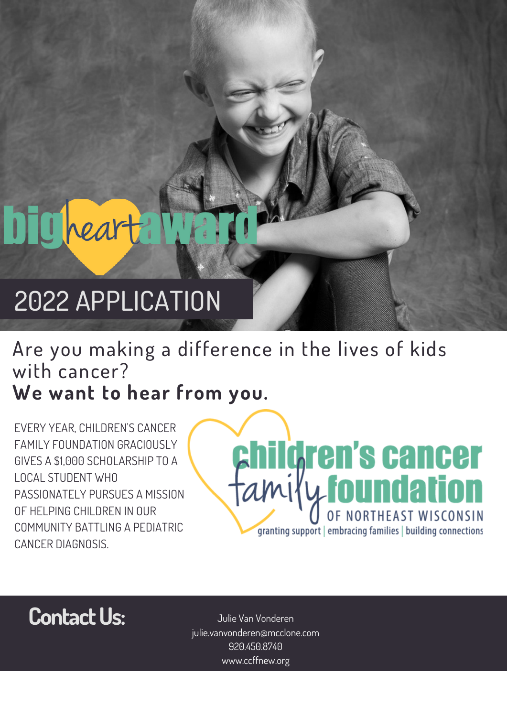# **DTC heart**

# 2022 APPLICATION

## Are you making a difference in the lives of kids with cancer? **We want to hear from you.**

EVERY YEAR, CHILDREN'S CANCER FAMILY FOUNDATION GRACIOUSLY GIVES A \$1,000 SCHOLARSHIP TO A LOCAL STUDENT WHO PASSIONATELY PURSUES A MISSION OF HELPING CHILDREN IN OUR COMMUNITY BATTLING A PEDIATRIC CANCER DIAGNOSIS.

# **children's cancer**<br>amily foundation granting support | embracing families | building connections



Julie Van Vonderen julie.vanvonderen@mcclone.com 920.450.8740 www.ccffnew.org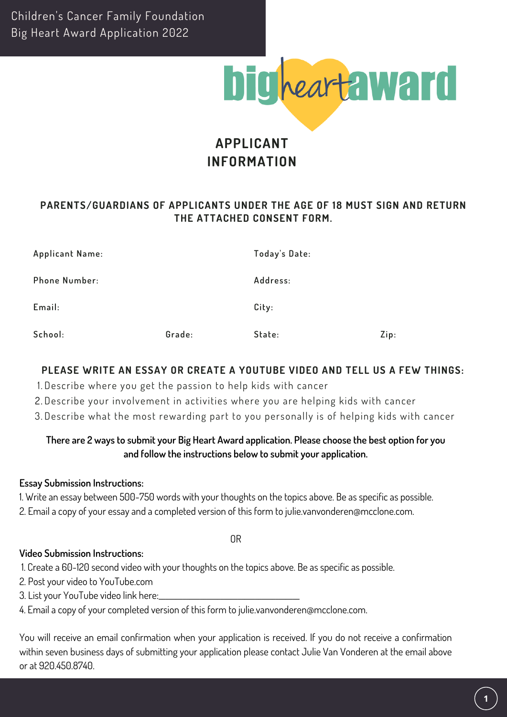Children's Cancer Family Foundation Big Heart Award Application 2022



### **APPLICANT INFORMATION**

#### **PARENTS/GUARDIANS OF APPLICANTS UNDER THE AGE OF 18 MUST SIGN AND RETURN THE ATTACHED CONSENT FORM.**

| Applicant Name:      |        | Today's Date: |      |
|----------------------|--------|---------------|------|
| <b>Phone Number:</b> |        | Address:      |      |
| Email:               |        | City:         |      |
| School:              | Grade: | State:        | Zip: |

#### **PLEASE WRITE AN ESSAY OR CREATE A YOUTUBE VIDEO AND TELL US A FEW THINGS:**

- 1. Describe where you get the passion to help kids with cancer
- Describe your involvement in activities where you are helping kids with cancer 2.
- Describe what the most rewarding part to you personally is of helping kids with cancer 3.

#### **There are 2 ways to submit your Big Heart Award application. Please choose the best option for you and follow the instructions below to submit your application.**

#### **Essay Submission Instructions:**

1. Write an essay between 500-750 words with your thoughts on the topics above. Be as specific as possible. 2. Email a copy of your essay and a completed version of this form to julie.vanvonderen@mcclone.com.

OR

#### **Video Submission Instructions:**

1. Create a 60-120 second video with your thoughts on the topics above. Be as specific as possible.

2. Post your video to YouTube.com

3. List your YouTube video link here:\_\_\_\_\_\_\_\_\_\_\_\_\_\_\_\_\_\_\_\_\_\_\_\_\_\_\_\_\_\_\_\_\_\_\_\_\_\_\_\_\_

4. Email a copy of your completed version of this form to julie.vanvonderen@mcclone.com.

You will receive an email confirmation when your application is received. If you do not receive a confirmation within seven business days of submitting your application please contact Julie Van Vonderen at the email above or at 920.450.8740.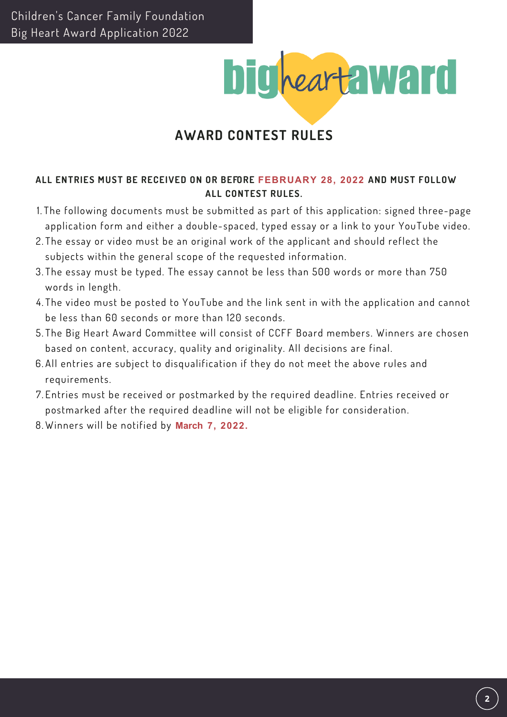

### **AWARD CONTEST RULES**

#### **ALL ENTRIES MUST BE RECEIVED ON OR BEFORE FEBRUARY 28, 2022 AND MUST FOLLOW ALL CONTEST RULES.**

- 1. The following documents must be submitted as part of this application: signed three-page application form and either a double-spaced, typed essay or a link to your YouTube video.
- 2. The essay or video must be an original work of the applicant and should reflect the subjects within the general scope of the requested information.
- 3. The essay must be typed. The essay cannot be less than 500 words or more than 750 words in length.
- 4. The video must be posted to YouTube and the link sent in with the application and cannot be less than 60 seconds or more than 120 seconds.
- 5. The Big Heart Award Committee will consist of CCFF Board members. Winners are chosen based on content, accuracy, quality and originality. All decisions are final.
- 6. All entries are subject to disqualification if they do not meet the above rules and requirements.
- 7. Entries must be received or postmarked by the required deadline. Entries received or postmarked after the required deadline will not be eligible for consideration.
- 8. Winners will be notified by **March 7, 2022.**